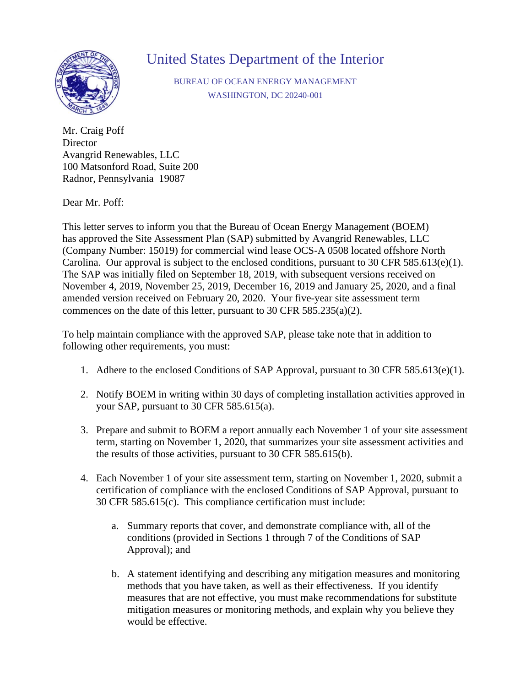

## United States Department of the Interior

BUREAU OF OCEAN ENERGY MANAGEMENT WASHINGTON, DC 20240-001

Mr. Craig Poff **Director** Avangrid Renewables, LLC 100 Matsonford Road, Suite 200 Radnor, Pennsylvania 19087

Dear Mr. Poff:

This letter serves to inform you that the Bureau of Ocean Energy Management (BOEM) has approved the Site Assessment Plan (SAP) submitted by Avangrid Renewables, LLC (Company Number: 15019) for commercial wind lease OCS-A 0508 located offshore North Carolina. Our approval is subject to the enclosed conditions, pursuant to 30 CFR 585.613(e)(1). The SAP was initially filed on September 18, 2019, with subsequent versions received on November 4, 2019, November 25, 2019, December 16, 2019 and January 25, 2020, and a final amended version received on February 20, 2020. Your five-year site assessment term commences on the date of this letter, pursuant to 30 CFR 585.235(a)(2).

To help maintain compliance with the approved SAP, please take note that in addition to following other requirements, you must:

- 1. Adhere to the enclosed Conditions of SAP Approval, pursuant to 30 CFR 585.613(e)(1).
- 2. Notify BOEM in writing within 30 days of completing installation activities approved in your SAP, pursuant to 30 CFR 585.615(a).
- 3. Prepare and submit to BOEM a report annually each November 1 of your site assessment term, starting on November 1, 2020, that summarizes your site assessment activities and the results of those activities, pursuant to 30 CFR 585.615(b).
- 4. Each November 1 of your site assessment term, starting on November 1, 2020, submit a certification of compliance with the enclosed Conditions of SAP Approval, pursuant to 30 CFR 585.615(c). This compliance certification must include:
	- a. Summary reports that cover, and demonstrate compliance with, all of the conditions (provided in Sections 1 through 7 of the Conditions of SAP Approval); and
	- b. A statement identifying and describing any mitigation measures and monitoring methods that you have taken, as well as their effectiveness. If you identify measures that are not effective, you must make recommendations for substitute mitigation measures or monitoring methods, and explain why you believe they would be effective.